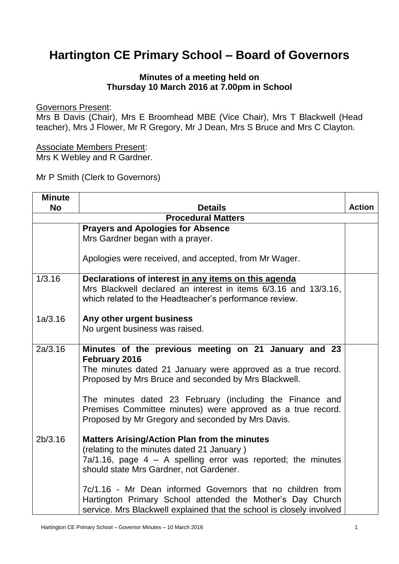## **Hartington CE Primary School – Board of Governors**

## **Minutes of a meeting held on Thursday 10 March 2016 at 7.00pm in School**

Governors Present:

Mrs B Davis (Chair), Mrs E Broomhead MBE (Vice Chair), Mrs T Blackwell (Head teacher), Mrs J Flower, Mr R Gregory, Mr J Dean, Mrs S Bruce and Mrs C Clayton.

Associate Members Present: Mrs K Webley and R Gardner.

Mr P Smith (Clerk to Governors)

| <b>Minute</b> |                                                                      |               |
|---------------|----------------------------------------------------------------------|---------------|
| <b>No</b>     | <b>Details</b>                                                       | <b>Action</b> |
|               | <b>Procedural Matters</b>                                            |               |
|               | <b>Prayers and Apologies for Absence</b>                             |               |
|               | Mrs Gardner began with a prayer.                                     |               |
|               |                                                                      |               |
|               | Apologies were received, and accepted, from Mr Wager.                |               |
|               |                                                                      |               |
| 1/3.16        | Declarations of interest in any items on this agenda                 |               |
|               | Mrs Blackwell declared an interest in items 6/3.16 and 13/3.16,      |               |
|               | which related to the Headteacher's performance review.               |               |
|               |                                                                      |               |
| 1a/3.16       | Any other urgent business                                            |               |
|               | No urgent business was raised.                                       |               |
|               |                                                                      |               |
| 2a/3.16       | Minutes of the previous meeting on 21 January and 23                 |               |
|               | February 2016                                                        |               |
|               | The minutes dated 21 January were approved as a true record.         |               |
|               | Proposed by Mrs Bruce and seconded by Mrs Blackwell.                 |               |
|               |                                                                      |               |
|               | The minutes dated 23 February (including the Finance and             |               |
|               | Premises Committee minutes) were approved as a true record.          |               |
|               | Proposed by Mr Gregory and seconded by Mrs Davis.                    |               |
| 2b/3.16       | <b>Matters Arising/Action Plan from the minutes</b>                  |               |
|               | (relating to the minutes dated 21 January)                           |               |
|               | $Ta/1.16$ , page $4 - A$ spelling error was reported; the minutes    |               |
|               | should state Mrs Gardner, not Gardener.                              |               |
|               |                                                                      |               |
|               | 7c/1.16 - Mr Dean informed Governors that no children from           |               |
|               | Hartington Primary School attended the Mother's Day Church           |               |
|               | service. Mrs Blackwell explained that the school is closely involved |               |
|               |                                                                      |               |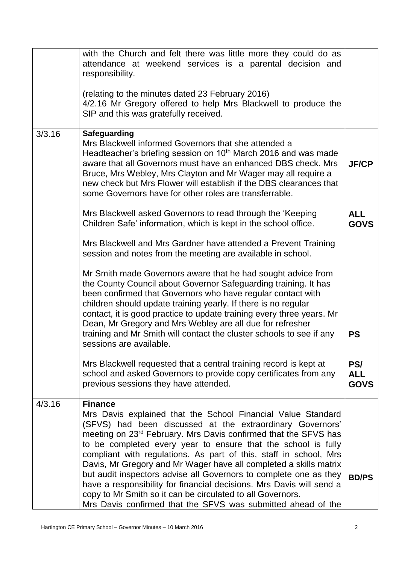|        | with the Church and felt there was little more they could do as<br>attendance at weekend services is a parental decision and<br>responsibility.                                                                                                                                                                                                                                                                                                                                                            |                                  |
|--------|------------------------------------------------------------------------------------------------------------------------------------------------------------------------------------------------------------------------------------------------------------------------------------------------------------------------------------------------------------------------------------------------------------------------------------------------------------------------------------------------------------|----------------------------------|
|        | (relating to the minutes dated 23 February 2016)<br>4/2.16 Mr Gregory offered to help Mrs Blackwell to produce the<br>SIP and this was gratefully received.                                                                                                                                                                                                                                                                                                                                                |                                  |
| 3/3.16 | Safeguarding<br>Mrs Blackwell informed Governors that she attended a<br>Headteacher's briefing session on 10 <sup>th</sup> March 2016 and was made<br>aware that all Governors must have an enhanced DBS check. Mrs<br>Bruce, Mrs Webley, Mrs Clayton and Mr Wager may all require a<br>new check but Mrs Flower will establish if the DBS clearances that<br>some Governors have for other roles are transferrable.                                                                                       | <b>JF/CP</b>                     |
|        | Mrs Blackwell asked Governors to read through the 'Keeping<br>Children Safe' information, which is kept in the school office.                                                                                                                                                                                                                                                                                                                                                                              | <b>ALL</b><br><b>GOVS</b>        |
|        | Mrs Blackwell and Mrs Gardner have attended a Prevent Training<br>session and notes from the meeting are available in school.                                                                                                                                                                                                                                                                                                                                                                              |                                  |
|        | Mr Smith made Governors aware that he had sought advice from<br>the County Council about Governor Safeguarding training. It has<br>been confirmed that Governors who have regular contact with<br>children should update training yearly. If there is no regular<br>contact, it is good practice to update training every three years. Mr<br>Dean, Mr Gregory and Mrs Webley are all due for refresher<br>training and Mr Smith will contact the cluster schools to see if any<br>sessions are available.  | <b>PS</b>                        |
|        | Mrs Blackwell requested that a central training record is kept at<br>school and asked Governors to provide copy certificates from any<br>previous sessions they have attended.                                                                                                                                                                                                                                                                                                                             | PS/<br><b>ALL</b><br><b>GOVS</b> |
| 4/3.16 | <b>Finance</b><br>Mrs Davis explained that the School Financial Value Standard<br>(SFVS) had been discussed at the extraordinary Governors'<br>meeting on 23 <sup>rd</sup> February. Mrs Davis confirmed that the SFVS has<br>to be completed every year to ensure that the school is fully<br>compliant with regulations. As part of this, staff in school, Mrs<br>Davis, Mr Gregory and Mr Wager have all completed a skills matrix<br>but audit inspectors advise all Governors to complete one as they |                                  |
|        | have a responsibility for financial decisions. Mrs Davis will send a<br>copy to Mr Smith so it can be circulated to all Governors.<br>Mrs Davis confirmed that the SFVS was submitted ahead of the                                                                                                                                                                                                                                                                                                         | <b>BD/PS</b>                     |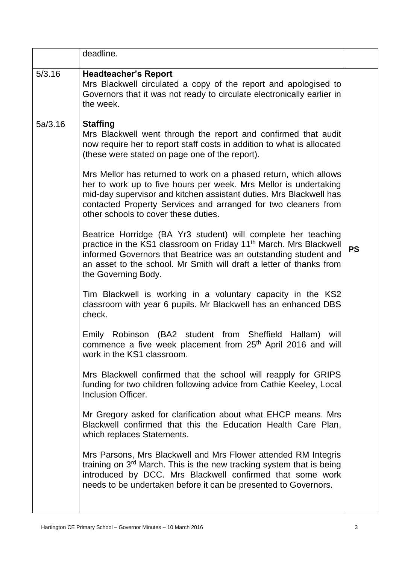|         | deadline.                                                                                                                                                                                                                                                                                                            |           |
|---------|----------------------------------------------------------------------------------------------------------------------------------------------------------------------------------------------------------------------------------------------------------------------------------------------------------------------|-----------|
| 5/3.16  | <b>Headteacher's Report</b><br>Mrs Blackwell circulated a copy of the report and apologised to<br>Governors that it was not ready to circulate electronically earlier in<br>the week.                                                                                                                                |           |
| 5a/3.16 | <b>Staffing</b><br>Mrs Blackwell went through the report and confirmed that audit<br>now require her to report staff costs in addition to what is allocated<br>(these were stated on page one of the report).                                                                                                        |           |
|         | Mrs Mellor has returned to work on a phased return, which allows<br>her to work up to five hours per week. Mrs Mellor is undertaking<br>mid-day supervisor and kitchen assistant duties. Mrs Blackwell has<br>contacted Property Services and arranged for two cleaners from<br>other schools to cover these duties. |           |
|         | Beatrice Horridge (BA Yr3 student) will complete her teaching<br>practice in the KS1 classroom on Friday 11 <sup>th</sup> March. Mrs Blackwell<br>informed Governors that Beatrice was an outstanding student and<br>an asset to the school. Mr Smith will draft a letter of thanks from<br>the Governing Body.      | <b>PS</b> |
|         | Tim Blackwell is working in a voluntary capacity in the KS2<br>classroom with year 6 pupils. Mr Blackwell has an enhanced DBS<br>check.                                                                                                                                                                              |           |
|         | Emily Robinson (BA2 student from Sheffield<br>Hallam)<br>will<br>commence a five week placement from 25 <sup>th</sup> April 2016 and will<br>work in the KS1 classroom.                                                                                                                                              |           |
|         | Mrs Blackwell confirmed that the school will reapply for GRIPS<br>funding for two children following advice from Cathie Keeley, Local<br>Inclusion Officer.                                                                                                                                                          |           |
|         | Mr Gregory asked for clarification about what EHCP means. Mrs<br>Blackwell confirmed that this the Education Health Care Plan,<br>which replaces Statements.                                                                                                                                                         |           |
|         | Mrs Parsons, Mrs Blackwell and Mrs Flower attended RM Integris<br>training on 3 <sup>rd</sup> March. This is the new tracking system that is being<br>introduced by DCC. Mrs Blackwell confirmed that some work<br>needs to be undertaken before it can be presented to Governors.                                   |           |
|         |                                                                                                                                                                                                                                                                                                                      |           |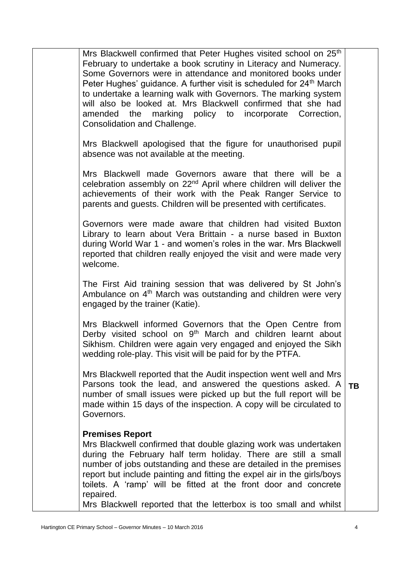|           | Mrs Blackwell confirmed that Peter Hughes visited school on 25th<br>February to undertake a book scrutiny in Literacy and Numeracy.<br>Some Governors were in attendance and monitored books under<br>Peter Hughes' guidance. A further visit is scheduled for 24 <sup>th</sup> March<br>to undertake a learning walk with Governors. The marking system<br>will also be looked at. Mrs Blackwell confirmed that she had<br>amended the marking policy to incorporate Correction,<br>Consolidation and Challenge. |
|-----------|-------------------------------------------------------------------------------------------------------------------------------------------------------------------------------------------------------------------------------------------------------------------------------------------------------------------------------------------------------------------------------------------------------------------------------------------------------------------------------------------------------------------|
|           | Mrs Blackwell apologised that the figure for unauthorised pupil<br>absence was not available at the meeting.                                                                                                                                                                                                                                                                                                                                                                                                      |
|           | Mrs Blackwell made Governors aware that there will be a<br>celebration assembly on 22 <sup>nd</sup> April where children will deliver the<br>achievements of their work with the Peak Ranger Service to<br>parents and guests. Children will be presented with certificates.                                                                                                                                                                                                                                      |
|           | Governors were made aware that children had visited Buxton<br>Library to learn about Vera Brittain - a nurse based in Buxton<br>during World War 1 - and women's roles in the war. Mrs Blackwell<br>reported that children really enjoyed the visit and were made very<br>welcome.                                                                                                                                                                                                                                |
|           | The First Aid training session that was delivered by St John's<br>Ambulance on 4 <sup>th</sup> March was outstanding and children were very<br>engaged by the trainer (Katie).                                                                                                                                                                                                                                                                                                                                    |
|           | Mrs Blackwell informed Governors that the Open Centre from<br>Derby visited school on 9 <sup>th</sup> March and children learnt about<br>Sikhism. Children were again very engaged and enjoyed the Sikh<br>wedding role-play. This visit will be paid for by the PTFA.                                                                                                                                                                                                                                            |
| <b>TB</b> | Mrs Blackwell reported that the Audit inspection went well and Mrs<br>Parsons took the lead, and answered the questions asked. A<br>number of small issues were picked up but the full report will be<br>made within 15 days of the inspection. A copy will be circulated to<br>Governors.                                                                                                                                                                                                                        |
|           | <b>Premises Report</b><br>Mrs Blackwell confirmed that double glazing work was undertaken<br>during the February half term holiday. There are still a small<br>number of jobs outstanding and these are detailed in the premises<br>report but include painting and fitting the expel air in the girls/boys<br>toilets. A 'ramp' will be fitted at the front door and concrete<br>repaired.<br>Mrs Blackwell reported that the letterbox is too small and whilst                                                  |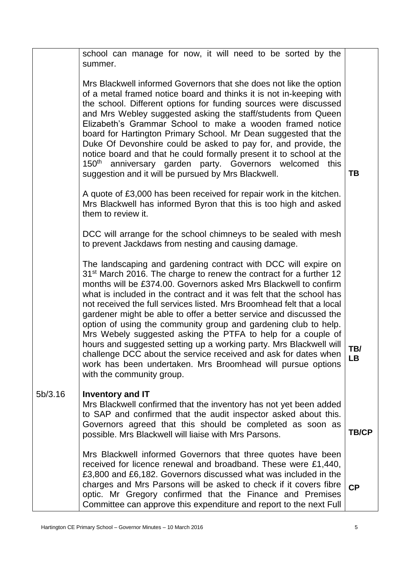|         | school can manage for now, it will need to be sorted by the<br>summer.                                                                                                                                                                                                                                                                                                                                                                                                                                                                                                                                                                                                                                                                                                                                               |                  |
|---------|----------------------------------------------------------------------------------------------------------------------------------------------------------------------------------------------------------------------------------------------------------------------------------------------------------------------------------------------------------------------------------------------------------------------------------------------------------------------------------------------------------------------------------------------------------------------------------------------------------------------------------------------------------------------------------------------------------------------------------------------------------------------------------------------------------------------|------------------|
|         | Mrs Blackwell informed Governors that she does not like the option<br>of a metal framed notice board and thinks it is not in-keeping with<br>the school. Different options for funding sources were discussed<br>and Mrs Webley suggested asking the staff/students from Queen<br>Elizabeth's Grammar School to make a wooden framed notice<br>board for Hartington Primary School. Mr Dean suggested that the<br>Duke Of Devonshire could be asked to pay for, and provide, the<br>notice board and that he could formally present it to school at the<br>150 <sup>th</sup> anniversary garden party. Governors welcomed<br>this<br>suggestion and it will be pursued by Mrs Blackwell.                                                                                                                             | TB               |
|         | A quote of £3,000 has been received for repair work in the kitchen.<br>Mrs Blackwell has informed Byron that this is too high and asked<br>them to review it.                                                                                                                                                                                                                                                                                                                                                                                                                                                                                                                                                                                                                                                        |                  |
|         | DCC will arrange for the school chimneys to be sealed with mesh<br>to prevent Jackdaws from nesting and causing damage.                                                                                                                                                                                                                                                                                                                                                                                                                                                                                                                                                                                                                                                                                              |                  |
|         | The landscaping and gardening contract with DCC will expire on<br>31 <sup>st</sup> March 2016. The charge to renew the contract for a further 12<br>months will be £374.00. Governors asked Mrs Blackwell to confirm<br>what is included in the contract and it was felt that the school has<br>not received the full services listed. Mrs Broomhead felt that a local<br>gardener might be able to offer a better service and discussed the<br>option of using the community group and gardening club to help.<br>Mrs Webely suggested asking the PTFA to help for a couple of<br>hours and suggested setting up a working party. Mrs Blackwell will<br>challenge DCC about the service received and ask for dates when<br>work has been undertaken. Mrs Broomhead will pursue options<br>with the community group. | TB/<br><b>LB</b> |
| 5b/3.16 | <b>Inventory and IT</b><br>Mrs Blackwell confirmed that the inventory has not yet been added<br>to SAP and confirmed that the audit inspector asked about this.<br>Governors agreed that this should be completed as soon as<br>possible. Mrs Blackwell will liaise with Mrs Parsons.                                                                                                                                                                                                                                                                                                                                                                                                                                                                                                                                | <b>TB/CP</b>     |
|         | Mrs Blackwell informed Governors that three quotes have been<br>received for licence renewal and broadband. These were £1,440,<br>£3,800 and £6,182. Governors discussed what was included in the<br>charges and Mrs Parsons will be asked to check if it covers fibre<br>optic. Mr Gregory confirmed that the Finance and Premises<br>Committee can approve this expenditure and report to the next Full                                                                                                                                                                                                                                                                                                                                                                                                            | CP               |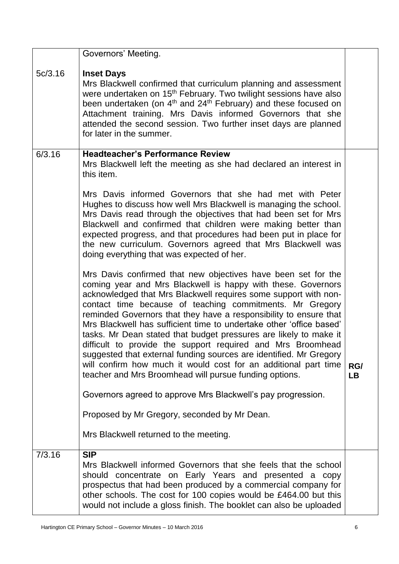|         | Governors' Meeting.                                                                                                                                                                                                                                                                                                                                                                                                                                                                                                                                                                                                                                                                                                                             |                  |
|---------|-------------------------------------------------------------------------------------------------------------------------------------------------------------------------------------------------------------------------------------------------------------------------------------------------------------------------------------------------------------------------------------------------------------------------------------------------------------------------------------------------------------------------------------------------------------------------------------------------------------------------------------------------------------------------------------------------------------------------------------------------|------------------|
| 5c/3.16 | <b>Inset Days</b><br>Mrs Blackwell confirmed that curriculum planning and assessment<br>were undertaken on 15 <sup>th</sup> February. Two twilight sessions have also<br>been undertaken (on 4 <sup>th</sup> and 24 <sup>th</sup> February) and these focused on<br>Attachment training. Mrs Davis informed Governors that she<br>attended the second session. Two further inset days are planned<br>for later in the summer.                                                                                                                                                                                                                                                                                                                   |                  |
| 6/3.16  | <b>Headteacher's Performance Review</b><br>Mrs Blackwell left the meeting as she had declared an interest in<br>this item.<br>Mrs Davis informed Governors that she had met with Peter<br>Hughes to discuss how well Mrs Blackwell is managing the school.                                                                                                                                                                                                                                                                                                                                                                                                                                                                                      |                  |
|         | Mrs Davis read through the objectives that had been set for Mrs<br>Blackwell and confirmed that children were making better than<br>expected progress, and that procedures had been put in place for<br>the new curriculum. Governors agreed that Mrs Blackwell was<br>doing everything that was expected of her.                                                                                                                                                                                                                                                                                                                                                                                                                               |                  |
|         | Mrs Davis confirmed that new objectives have been set for the<br>coming year and Mrs Blackwell is happy with these. Governors<br>acknowledged that Mrs Blackwell requires some support with non-<br>contact time because of teaching commitments. Mr Gregory<br>reminded Governors that they have a responsibility to ensure that<br>Mrs Blackwell has sufficient time to undertake other 'office based'<br>tasks. Mr Dean stated that budget pressures are likely to make it<br>difficult to provide the support required and Mrs Broomhead<br>suggested that external funding sources are identified. Mr Gregory<br>will confirm how much it would cost for an additional part time<br>teacher and Mrs Broomhead will pursue funding options. | RG/<br><b>LB</b> |
|         | Governors agreed to approve Mrs Blackwell's pay progression.                                                                                                                                                                                                                                                                                                                                                                                                                                                                                                                                                                                                                                                                                    |                  |
|         | Proposed by Mr Gregory, seconded by Mr Dean.                                                                                                                                                                                                                                                                                                                                                                                                                                                                                                                                                                                                                                                                                                    |                  |
|         | Mrs Blackwell returned to the meeting.                                                                                                                                                                                                                                                                                                                                                                                                                                                                                                                                                                                                                                                                                                          |                  |
| 7/3.16  | <b>SIP</b><br>Mrs Blackwell informed Governors that she feels that the school<br>should concentrate on Early Years and presented a copy<br>prospectus that had been produced by a commercial company for<br>other schools. The cost for 100 copies would be £464.00 but this<br>would not include a gloss finish. The booklet can also be uploaded                                                                                                                                                                                                                                                                                                                                                                                              |                  |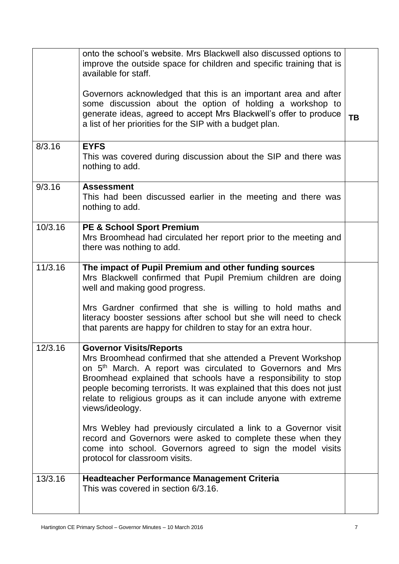|         | onto the school's website. Mrs Blackwell also discussed options to<br>improve the outside space for children and specific training that is<br>available for staff.                                                                                                                                                                                                                                        |           |
|---------|-----------------------------------------------------------------------------------------------------------------------------------------------------------------------------------------------------------------------------------------------------------------------------------------------------------------------------------------------------------------------------------------------------------|-----------|
|         | Governors acknowledged that this is an important area and after<br>some discussion about the option of holding a workshop to<br>generate ideas, agreed to accept Mrs Blackwell's offer to produce<br>a list of her priorities for the SIP with a budget plan.                                                                                                                                             | <b>TB</b> |
| 8/3.16  | <b>EYFS</b><br>This was covered during discussion about the SIP and there was<br>nothing to add.                                                                                                                                                                                                                                                                                                          |           |
| 9/3.16  | <b>Assessment</b><br>This had been discussed earlier in the meeting and there was<br>nothing to add.                                                                                                                                                                                                                                                                                                      |           |
| 10/3.16 | <b>PE &amp; School Sport Premium</b><br>Mrs Broomhead had circulated her report prior to the meeting and<br>there was nothing to add.                                                                                                                                                                                                                                                                     |           |
| 11/3.16 | The impact of Pupil Premium and other funding sources<br>Mrs Blackwell confirmed that Pupil Premium children are doing<br>well and making good progress.                                                                                                                                                                                                                                                  |           |
|         | Mrs Gardner confirmed that she is willing to hold maths and<br>literacy booster sessions after school but she will need to check<br>that parents are happy for children to stay for an extra hour.                                                                                                                                                                                                        |           |
| 12/3.16 | <b>Governor Visits/Reports</b><br>Mrs Broomhead confirmed that she attended a Prevent Workshop<br>on 5 <sup>th</sup> March. A report was circulated to Governors and Mrs<br>Broomhead explained that schools have a responsibility to stop<br>people becoming terrorists. It was explained that this does not just<br>relate to religious groups as it can include anyone with extreme<br>views/ideology. |           |
|         | Mrs Webley had previously circulated a link to a Governor visit<br>record and Governors were asked to complete these when they<br>come into school. Governors agreed to sign the model visits<br>protocol for classroom visits.                                                                                                                                                                           |           |
| 13/3.16 | <b>Headteacher Performance Management Criteria</b><br>This was covered in section 6/3.16.                                                                                                                                                                                                                                                                                                                 |           |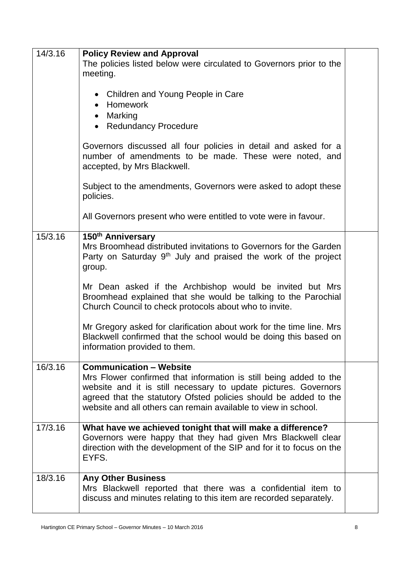| 14/3.16 | <b>Policy Review and Approval</b>                                                                                                                                                                                                                                                                            |  |
|---------|--------------------------------------------------------------------------------------------------------------------------------------------------------------------------------------------------------------------------------------------------------------------------------------------------------------|--|
|         | The policies listed below were circulated to Governors prior to the<br>meeting.                                                                                                                                                                                                                              |  |
|         | • Children and Young People in Care<br>Homework<br>$\bullet$<br>Marking<br>$\bullet$<br>• Redundancy Procedure                                                                                                                                                                                               |  |
|         | Governors discussed all four policies in detail and asked for a<br>number of amendments to be made. These were noted, and<br>accepted, by Mrs Blackwell.                                                                                                                                                     |  |
|         | Subject to the amendments, Governors were asked to adopt these<br>policies.                                                                                                                                                                                                                                  |  |
|         | All Governors present who were entitled to vote were in favour.                                                                                                                                                                                                                                              |  |
| 15/3.16 | 150 <sup>th</sup> Anniversary<br>Mrs Broomhead distributed invitations to Governors for the Garden<br>Party on Saturday 9 <sup>th</sup> July and praised the work of the project<br>group.                                                                                                                   |  |
|         | Mr Dean asked if the Archbishop would be invited but Mrs<br>Broomhead explained that she would be talking to the Parochial<br>Church Council to check protocols about who to invite.                                                                                                                         |  |
|         | Mr Gregory asked for clarification about work for the time line. Mrs<br>Blackwell confirmed that the school would be doing this based on<br>information provided to them.                                                                                                                                    |  |
| 16/3.16 | <b>Communication - Website</b><br>Mrs Flower confirmed that information is still being added to the<br>website and it is still necessary to update pictures. Governors<br>agreed that the statutory Ofsted policies should be added to the<br>website and all others can remain available to view in school. |  |
| 17/3.16 | What have we achieved tonight that will make a difference?<br>Governors were happy that they had given Mrs Blackwell clear<br>direction with the development of the SIP and for it to focus on the<br>EYFS.                                                                                                  |  |
| 18/3.16 | <b>Any Other Business</b><br>Mrs Blackwell reported that there was a confidential item to<br>discuss and minutes relating to this item are recorded separately.                                                                                                                                              |  |